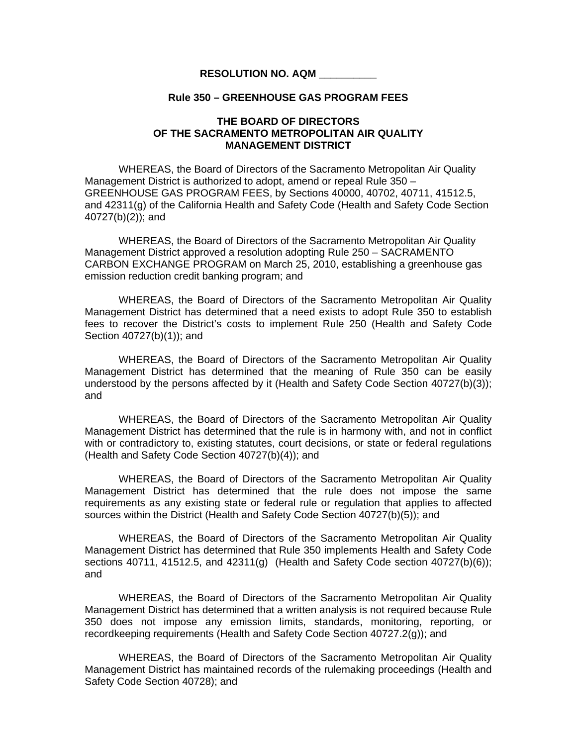## **RESOLUTION NO. AQM \_\_\_\_\_\_\_\_\_\_**

## **Rule 350 – GREENHOUSE GAS PROGRAM FEES**

## **THE BOARD OF DIRECTORS OF THE SACRAMENTO METROPOLITAN AIR QUALITY MANAGEMENT DISTRICT**

WHEREAS, the Board of Directors of the Sacramento Metropolitan Air Quality Management District is authorized to adopt, amend or repeal Rule 350 – GREENHOUSE GAS PROGRAM FEES, by Sections 40000, 40702, 40711, 41512.5, and 42311(g) of the California Health and Safety Code (Health and Safety Code Section 40727(b)(2)); and

WHEREAS, the Board of Directors of the Sacramento Metropolitan Air Quality Management District approved a resolution adopting Rule 250 – SACRAMENTO CARBON EXCHANGE PROGRAM on March 25, 2010, establishing a greenhouse gas emission reduction credit banking program; and

 WHEREAS, the Board of Directors of the Sacramento Metropolitan Air Quality Management District has determined that a need exists to adopt Rule 350 to establish fees to recover the District's costs to implement Rule 250 (Health and Safety Code Section 40727(b)(1)); and

 WHEREAS, the Board of Directors of the Sacramento Metropolitan Air Quality Management District has determined that the meaning of Rule 350 can be easily understood by the persons affected by it (Health and Safety Code Section 40727(b)(3)); and

 WHEREAS, the Board of Directors of the Sacramento Metropolitan Air Quality Management District has determined that the rule is in harmony with, and not in conflict with or contradictory to, existing statutes, court decisions, or state or federal regulations (Health and Safety Code Section 40727(b)(4)); and

 WHEREAS, the Board of Directors of the Sacramento Metropolitan Air Quality Management District has determined that the rule does not impose the same requirements as any existing state or federal rule or regulation that applies to affected sources within the District (Health and Safety Code Section 40727(b)(5)); and

WHEREAS, the Board of Directors of the Sacramento Metropolitan Air Quality Management District has determined that Rule 350 implements Health and Safety Code sections 40711, 41512.5, and 42311(g) (Health and Safety Code section 40727(b)(6)); and

WHEREAS, the Board of Directors of the Sacramento Metropolitan Air Quality Management District has determined that a written analysis is not required because Rule 350 does not impose any emission limits, standards, monitoring, reporting, or recordkeeping requirements (Health and Safety Code Section 40727.2(g)); and

WHEREAS, the Board of Directors of the Sacramento Metropolitan Air Quality Management District has maintained records of the rulemaking proceedings (Health and Safety Code Section 40728); and